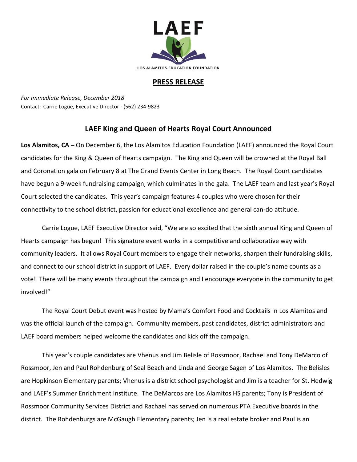

## **PRESS RELEASE**

*For Immediate Release, December 2018* Contact: Carrie Logue, Executive Director - (562) 234-9823

## **LAEF King and Queen of Hearts Royal Court Announced**

**Los Alamitos, CA –** On December 6, the Los Alamitos Education Foundation (LAEF) announced the Royal Court candidates for the King & Queen of Hearts campaign. The King and Queen will be crowned at the Royal Ball and Coronation gala on February 8 at The Grand Events Center in Long Beach. The Royal Court candidates have begun a 9-week fundraising campaign, which culminates in the gala. The LAEF team and last year's Royal Court selected the candidates. This year's campaign features 4 couples who were chosen for their connectivity to the school district, passion for educational excellence and general can-do attitude.

Carrie Logue, LAEF Executive Director said, "We are so excited that the sixth annual King and Queen of Hearts campaign has begun! This signature event works in a competitive and collaborative way with community leaders. It allows Royal Court members to engage their networks, sharpen their fundraising skills, and connect to our school district in support of LAEF. Every dollar raised in the couple's name counts as a vote! There will be many events throughout the campaign and I encourage everyone in the community to get involved!"

The Royal Court Debut event was hosted by Mama's Comfort Food and Cocktails in Los Alamitos and was the official launch of the campaign. Community members, past candidates, district administrators and LAEF board members helped welcome the candidates and kick off the campaign.

This year's couple candidates are Vhenus and Jim Belisle of Rossmoor, Rachael and Tony DeMarco of Rossmoor, Jen and Paul Rohdenburg of Seal Beach and Linda and George Sagen of Los Alamitos. The Belisles are Hopkinson Elementary parents; Vhenus is a district school psychologist and Jim is a teacher for St. Hedwig and LAEF's Summer Enrichment Institute. The DeMarcos are Los Alamitos HS parents; Tony is President of Rossmoor Community Services District and Rachael has served on numerous PTA Executive boards in the district. The Rohdenburgs are McGaugh Elementary parents; Jen is a real estate broker and Paul is an